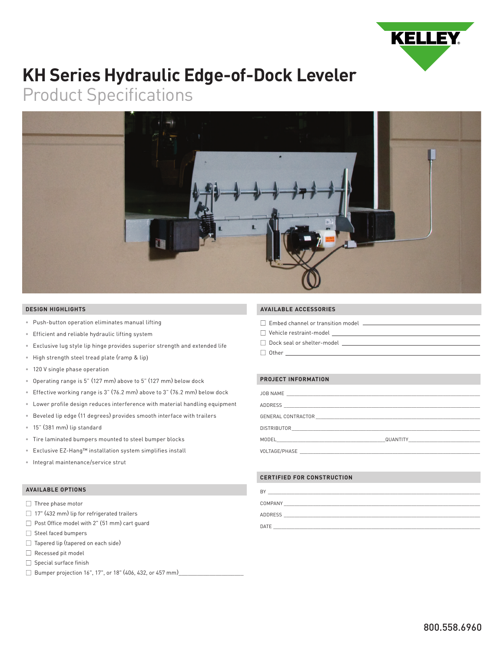

# **KH Series Hydraulic Edge-of-Dock Leveler**

Product Specifications



## **DESIGN HIGHLIGHTS**

- Push-button operation eliminates manual lifting
- Efficient and reliable hydraulic lifting system
- Exclusive lug style lip hinge provides superior strength and extended life
- High strength steel tread plate (ramp & lip)
- 120 V single phase operation
- Operating range is 5" (127 mm) above to 5" (127 mm) below dock
- Effective working range is 3" (76.2 mm) above to 3" (76.2 mm) below dock
- Lower profile design reduces interference with material handling equipment
- Beveled lip edge (11 degrees) provides smooth interface with trailers
- 15" (381 mm) lip standard
- Tire laminated bumpers mounted to steel bumper blocks
- Exclusive EZ-Hang™ installation system simplifies install
- Integral maintenance/service strut

### **AVAILABLE OPTIONS**

- □ Three phase motor
- $\Box$  17" (432 mm) lip for refrigerated trailers
- □ Post Office model with 2" (51 mm) cart guard
- $\Box$  Steel faced bumpers
- $\Box$  Tapered lip (tapered on each side)
- Recessed pit model
- $\Box$  Special surface finish
- $\Box$  Bumper projection 16", 17", or 18" (406, 432, or 457 mm)

#### **AVAILABLE ACCESSORIES**

| Embed channel or transition model  |
|------------------------------------|
| $\Box$ Vehicle restraint-model     |
| □ Dock seal or shelter-model _____ |
| $\Box$ Other                       |

# **PROJECT INFORMATION**

| JOB NAME      |  |  |  |
|---------------|--|--|--|
|               |  |  |  |
|               |  |  |  |
|               |  |  |  |
|               |  |  |  |
| VOLTAGE/PHASE |  |  |  |

#### **CERTIFIED FOR CONSTRUCTION**

| BY             |
|----------------|
| COMPANY        |
| <b>ADDRESS</b> |
| DATE           |